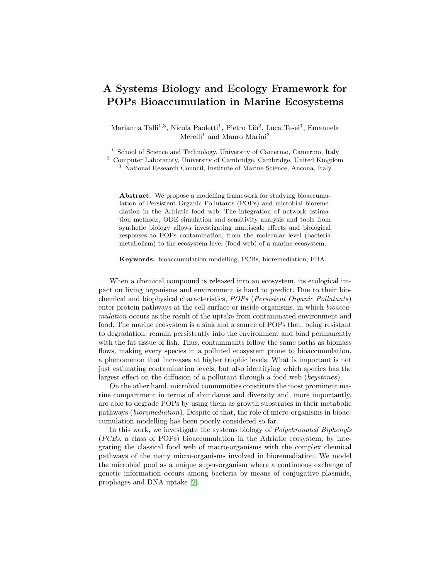## A Systems Biology and Ecology Framework for POPs Bioaccumulation in Marine Ecosystems

Marianna Taffi<sup>1,3</sup>, Nicola Paoletti<sup>1</sup>, Pietro Liò<sup>2</sup>, Luca Tesei<sup>1</sup>, Emanuela Merelli<sup>1</sup> and Mauro Marini<sup>3</sup>

<sup>1</sup> School of Science and Technology, University of Camerino, Camerino, Italy

<sup>2</sup> Computer Laboratory, University of Cambridge, Cambridge, United Kingdom

<sup>3</sup> National Research Council, Institute of Marine Science, Ancona, Italy

Abstract. We propose a modelling framework for studying bioaccumulation of Persistent Organic Pollutants (POPs) and microbial bioremediation in the Adriatic food web. The integration of network estimation methods, ODE simulation and sensitivity analysis and tools from synthetic biology allows investigating multiscale effects and biological responses to POPs contamination, from the molecular level (bacteria metabolism) to the ecosystem level (food web) of a marine ecosystem.

Keywords: bioaccumulation modelling, PCBs, bioremediation, FBA.

When a chemical compound is released into an ecosystem, its ecological impact on living organisms and environment is hard to predict. Due to their biochemical and biophysical characteristics, POPs (Persistent Organic Pollutants) enter protein pathways at the cell surface or inside organisms, in which bioaccumulation occurs as the result of the uptake from contaminated environment and food. The marine ecosystem is a sink and a source of POPs that, being resistant to degradation, remain persistently into the environment and bind permanently with the fat tissue of fish. Thus, contaminants follow the same paths as biomass flows, making every species in a polluted ecosystem prone to bioaccumulation, a phenomenon that increases at higher trophic levels. What is important is not just estimating contamination levels, but also identifying which species has the largest effect on the diffusion of a pollutant through a food web (keystones).

On the other hand, microbial communities constitute the most prominent marine compartment in terms of abundance and diversity and, more importantly, are able to degrade POPs by using them as growth substrates in their metabolic pathways (bioremediation). Despite of that, the role of micro-organisms in bioaccumulation modelling has been poorly considered so far.

In this work, we investigate the systems biology of Polychronated Biphenyls (PCBs, a class of POPs) bioaccumulation in the Adriatic ecosystem, by integrating the classical food web of macro-organisms with the complex chemical pathways of the many micro-organisms involved in bioremediation. We model the microbial pool as a unique super-organism where a continuous exchange of genetic information occurs among bacteria by means of conjugative plasmids, prophages and DNA uptake [\[2\]](#page-1-0).